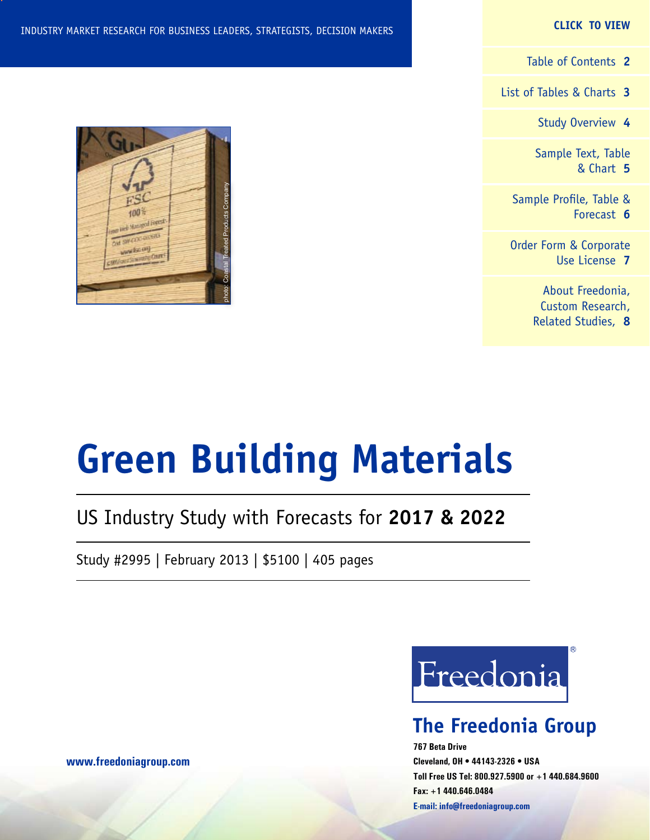#### **CLICK TO VIEW**

[Table of Contents](#page-1-0) **2**

[List of Tables & Charts](#page-2-0) **3**

[Study Overview](#page-3-0) **4**

[Sample Text, Table](#page-4-0) [& Chart](#page-4-0) **5**

[Sample Profile, Table &](#page-5-0) [Forecast](#page-5-0) **6**

[Order Form & Corporate](#page-6-0) [Use License](#page-6-0) **7**

> [About Freedonia,](#page-7-0) [Custom Research,](#page-7-0) [Related Studies,](#page-7-0) **8**



# **Green Building Materials**

### US Industry Study with Forecasts for **2017 & 2022**

Study #2995 | February 2013 | \$5100 | 405 pages



### **The Freedonia Group**

**767 Beta Drive Cleveland, OH • 44143-2326 • USA Toll Free US Tel: 800.927.5900 or +1 440.684.9600 Fax: +1 440.646.0484 E-mail: [info@freedoniagroup.com](mailto:info@freedoniagroup.com)**

**[www.freedoniagroup.com](http://www.freedoniagroup.com/Home.aspx?ReferrerId=FM-Bro)**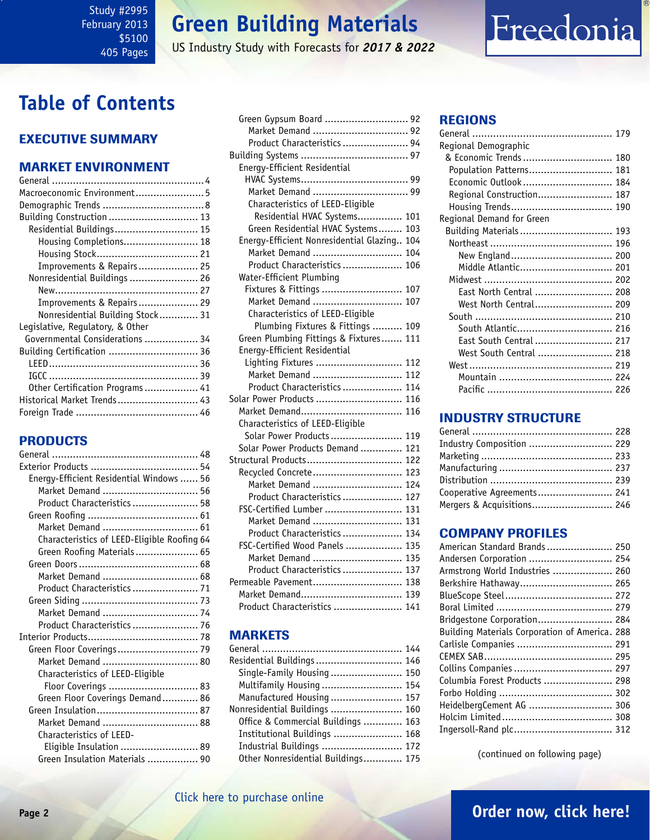#### <span id="page-1-0"></span>Study #2995 February 2013 \$5100 405 Pages

### **Green Building Materials**

US Industry Study with Forecasts for *2017 & 2022*

### **Table of Contents**

#### Executive Summary

#### Market EnvironmenT

#### PRODUCTS

| Energy-Efficient Residential Windows  56    |
|---------------------------------------------|
| Market Demand  56                           |
| Product Characteristics  58                 |
|                                             |
|                                             |
| Characteristics of LEED-Eligible Roofing 64 |
| Green Roofing Materials 65                  |
|                                             |
| Market Demand  68                           |
| Product Characteristics  71                 |
|                                             |
| Market Demand  74                           |
| Product Characteristics  76                 |
|                                             |
| Green Floor Coverings 79                    |
| Market Demand  80                           |
| Characteristics of LEED-Eligible            |
| Floor Coverings  83                         |
| Green Floor Coverings Demand 86             |
|                                             |
|                                             |
| Characteristics of LEED-                    |
| Eligible Insulation  89                     |
| Green Insulation Materials  90              |

| Green Gypsum Board  92                      |
|---------------------------------------------|
| Market Demand  92                           |
| Product Characteristics  94                 |
|                                             |
| Energy-Efficient Residential                |
|                                             |
| Market Demand  99                           |
| Characteristics of LEED-Eligible            |
| Residential HVAC Systems 101                |
| Green Residential HVAC Systems 103          |
| Energy-Efficient Nonresidential Glazing 104 |
| Market Demand  104                          |
| Product Characteristics  106                |
| Water-Efficient Plumbing                    |
| Fixtures & Fittings  107                    |
| Market Demand  107                          |
| Characteristics of LEED-Eligible            |
| Plumbing Fixtures & Fittings  109           |
| Green Plumbing Fittings & Fixtures 111      |
| Energy-Efficient Residential                |
| Lighting Fixtures  112                      |
| Market Demand  112                          |
| Product Characteristics  114                |
| Solar Power Products  116                   |
| Market Demand 116                           |
| Characteristics of LEED-Eligible            |
| Solar Power Products 119                    |
| Solar Power Products Demand  121            |
| Structural Products 122                     |
| Recycled Concrete 123                       |
| Market Demand  124                          |
| Product Characteristics  127                |
| FSC-Certified Lumber  131                   |
| Market Demand  131                          |
| Product Characteristics  134                |
| FSC-Certified Wood Panels  135              |
| Market Demand  135                          |
| Product Characteristics  137                |
| Permeable Pavement 138                      |
| Market Demand 139                           |
| Product Characteristics  141                |

#### **MARKETS**

| Residential Buildings 146          |  |
|------------------------------------|--|
| Single-Family Housing  150         |  |
| Multifamily Housing  154           |  |
| Manufactured Housing  157          |  |
| Nonresidential Buildings  160      |  |
| Office & Commercial Buildings  163 |  |
| Institutional Buildings  168       |  |
| Industrial Buildings  172          |  |
| Other Nonresidential Buildings 175 |  |

#### REGIONS

| Regional Demographic      |  |
|---------------------------|--|
| & Economic Trends  180    |  |
| Population Patterns 181   |  |
| Economic Outlook  184     |  |
| Regional Construction 187 |  |
| Housing Trends 190        |  |
| Regional Demand for Green |  |
| Building Materials  193   |  |
|                           |  |
| New England 200           |  |
| Middle Atlantic 201       |  |
|                           |  |
| East North Central  208   |  |
| West North Central 209    |  |
|                           |  |
| South Atlantic 216        |  |
| East South Central  217   |  |
| West South Central  218   |  |
|                           |  |
|                           |  |
|                           |  |
|                           |  |

Freedonia

#### INDUSTRY STRUCTURE

| Industry Composition  229  |  |
|----------------------------|--|
|                            |  |
|                            |  |
|                            |  |
| Cooperative Agreements 241 |  |
| Mergers & Acquisitions 246 |  |

#### Company Profiles

| American Standard Brands 250                   |
|------------------------------------------------|
| Andersen Corporation  254                      |
| Armstrong World Industries  260                |
| Berkshire Hathaway 265                         |
|                                                |
|                                                |
| Bridgestone Corporation 284                    |
| Building Materials Corporation of America. 288 |
|                                                |
|                                                |
| Collins Companies  297                         |
| Columbia Forest Products  298                  |
|                                                |
| HeidelbergCement AG  306                       |
|                                                |
| Ingersoll-Rand plc 312                         |

(continued on following page)

### **Page 2 [Order now, click here!](#page-6-0)**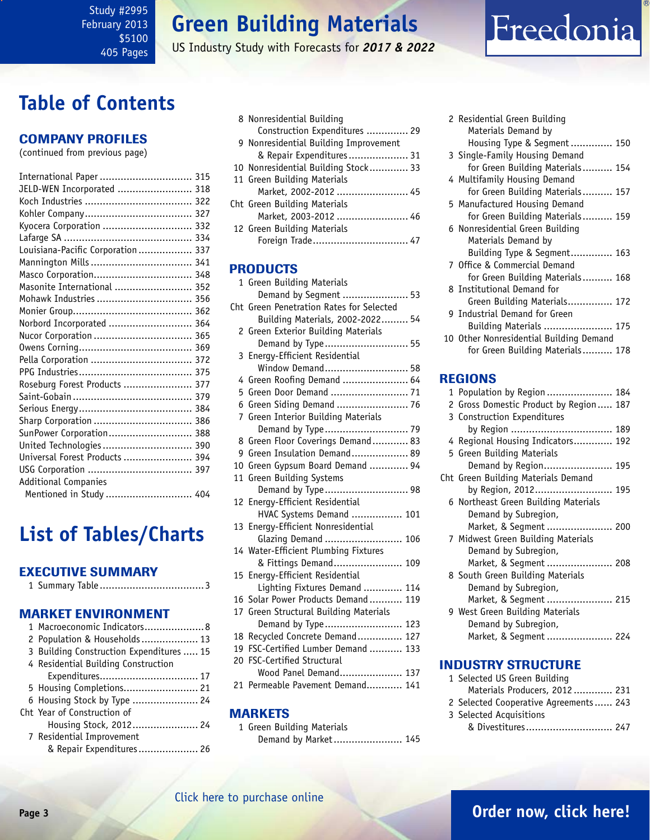<span id="page-2-0"></span>Study #2995 February 2013 \$5100 405 Pages

### **Green Building Materials**

US Industry Study with Forecasts for *2017 & 2022*

### **Table of Contents**

#### Company Profiles

(continued from previous page)

| International Paper  315          |
|-----------------------------------|
| JELD-WEN Incorporated  318        |
|                                   |
|                                   |
| Kyocera Corporation  332          |
|                                   |
| Louisiana-Pacific Corporation 337 |
|                                   |
| Masco Corporation 348             |
| Masonite International  352       |
| Mohawk Industries  356            |
|                                   |
| Norbord Incorporated  364         |
|                                   |
|                                   |
| Pella Corporation  372            |
|                                   |
| Roseburg Forest Products  377     |
|                                   |
|                                   |
| Sharp Corporation  386            |
| SunPower Corporation 388          |
|                                   |
| Universal Forest Products  394    |
|                                   |
| <b>Additional Companies</b>       |
| Mentioned in Study  404           |

### **List of Tables/Charts**

#### Executive Summary

|--|--|--|--|

#### Market EnvironmenT

| 1 Macroeconomic Indicators 8             |
|------------------------------------------|
| 2 Population & Households  13            |
| 3 Building Construction Expenditures  15 |
| 4 Residential Building Construction      |
| Expenditures 17                          |
| 5 Housing Completions 21                 |
| 6 Housing Stock by Type  24              |
| Cht Year of Construction of              |
| Housing Stock, 2012 24                   |
| 7 Residential Improvement                |
| & Repair Expenditures 26                 |

| 8 Nonresidential Building             |
|---------------------------------------|
| Construction Expenditures  29         |
| 9 Nonresidential Building Improvement |
| & Repair Expenditures 31              |
| 10 Nonresidential Building Stock 33   |
| 11 Green Building Materials           |
| Market, 2002-2012  45                 |
| Cht Green Building Materials          |
| Market, 2003-2012  46                 |
| 12 Green Building Materials           |
| Foreign Trade 47                      |

#### **PRODUCTS**

|     | 1 Green Building Materials             |
|-----|----------------------------------------|
|     | Demand by Segment  53                  |
| Cht | Green Penetration Rates for Selected   |
|     | Building Materials, 2002-2022 54       |
|     | 2 Green Exterior Building Materials    |
|     | Demand by Type 55                      |
|     | 3 Energy-Efficient Residential         |
|     | Window Demand 58                       |
|     | 4 Green Roofing Demand  64             |
|     | 5 Green Door Demand  71                |
|     | 6 Green Siding Demand  76              |
|     | 7 Green Interior Building Materials    |
|     | Demand by Type 79                      |
|     | 8 Green Floor Coverings Demand 83      |
|     | 9 Green Insulation Demand 89           |
|     | 10 Green Gypsum Board Demand  94       |
|     | 11 Green Building Systems              |
|     | Demand by Type 98                      |
|     | 12 Energy-Efficient Residential        |
|     | HVAC Systems Demand  101               |
| 13  | Energy-Efficient Nonresidential        |
|     | Glazing Demand  106                    |
|     | 14 Water-Efficient Plumbing Fixtures   |
|     | & Fittings Demand 109                  |
|     | 15 Energy-Efficient Residential        |
|     | Lighting Fixtures Demand  114          |
|     | 16 Solar Power Products Demand  119    |
|     | 17 Green Structural Building Materials |
|     | Demand by Type 123                     |
|     | 18 Recycled Concrete Demand 127        |
| 19  | FSC-Certified Lumber Demand  133       |
| 20  | <b>FSC-Certified Structural</b>        |
|     | Wood Panel Demand 137                  |
| 21  | Permeable Pavement Demand 141          |

#### MARKETS

1 Green Building Materials Demand by Market....................... 145

| 2 Residential Green Building            |
|-----------------------------------------|
| Materials Demand by                     |
| Housing Type & Segment 150              |
| 3 Single-Family Housing Demand          |
| for Green Building Materials 154        |
| 4 Multifamily Housing Demand            |
| for Green Building Materials 157        |
| 5 Manufactured Housing Demand           |
| for Green Building Materials 159        |
| 6 Nonresidential Green Building         |
| Materials Demand by                     |
| Building Type & Segment 163             |
| 7 Office & Commercial Demand            |
| for Green Building Materials 168        |
| 8 Institutional Demand for              |
| Green Building Materials 172            |
| 9 Industrial Demand for Green           |
| Building Materials  175                 |
| 10 Other Nonresidential Building Demand |
| for Green Building Materials 178        |

Freedonia

#### REGIONS

| 1 Population by Region 184             |  |
|----------------------------------------|--|
| 2 Gross Domestic Product by Region 187 |  |
| 3 Construction Expenditures            |  |
|                                        |  |
| 4 Regional Housing Indicators 192      |  |
| 5 Green Building Materials             |  |
| Demand by Region 195                   |  |
| Cht Green Building Materials Demand    |  |
| by Region, 2012 195                    |  |
| 6 Northeast Green Building Materials   |  |
| Demand by Subregion,                   |  |
| Market, & Segment  200                 |  |
| 7 Midwest Green Building Materials     |  |
| Demand by Subregion,                   |  |
| Market, & Segment  208                 |  |
| 8 South Green Building Materials       |  |
| Demand by Subregion,                   |  |
| Market, & Segment  215                 |  |
| 9 West Green Building Materials        |  |
| Demand by Subregion,                   |  |
| Market, & Segment  224                 |  |
|                                        |  |

#### INDUSTRY STRUCTURE

| 1 Selected US Green Building           |  |
|----------------------------------------|--|
| Materials Producers, 2012 231          |  |
| 2 Selected Cooperative Agreements  243 |  |
| 3 Selected Acquisitions                |  |
| & Divestitures 247                     |  |
|                                        |  |

#### [Click here to purchase online](http://www.freedoniagroup.com/DocumentDetails.aspx?Referrerid=FM-Bro&StudyID=2995)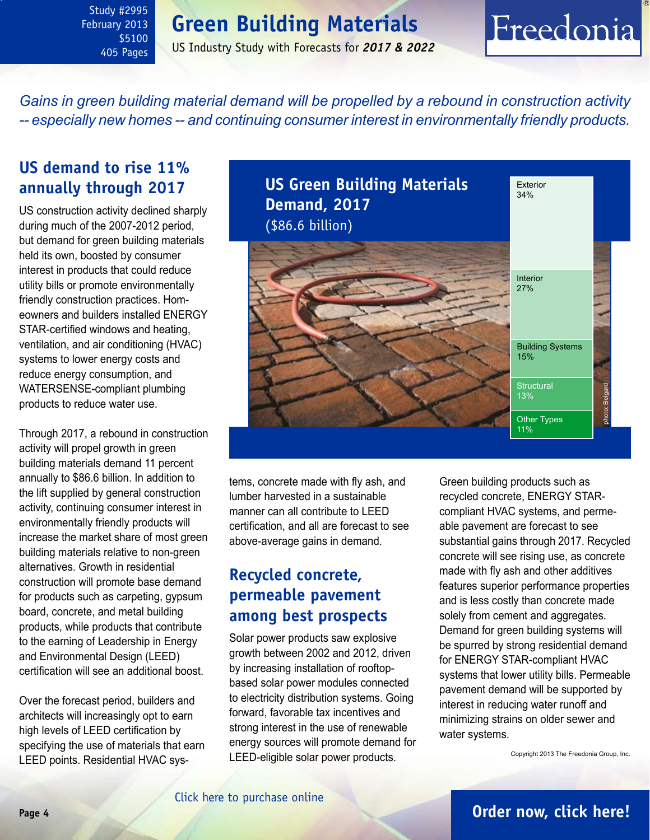<span id="page-3-0"></span>Study #2995 February 2013 \$5100 405 Pages

### **Green Building Materials**

US Industry Study with Forecasts for *2017 & 2022*

## Freedonia

*Gains in green building material demand will be propelled by a rebound in construction activity -- especially new homes -- and continuing consumer interest in environmentally friendly products.* 

### **US demand to rise 11% annually through 2017**

US construction activity declined sharply during much of the 2007-2012 period, but demand for green building materials held its own, boosted by consumer interest in products that could reduce utility bills or promote environmentally friendly construction practices. Homeowners and builders installed ENERGY STAR-certified windows and heating, ventilation, and air conditioning (HVAC) systems to lower energy costs and reduce energy consumption, and WATERSENSE-compliant plumbing products to reduce water use.

Through 2017, a rebound in construction activity will propel growth in green building materials demand 11 percent annually to \$86.6 billion. In addition to the lift supplied by general construction activity, continuing consumer interest in environmentally friendly products will increase the market share of most green building materials relative to non-green alternatives. Growth in residential construction will promote base demand for products such as carpeting, gypsum board, concrete, and metal building products, while products that contribute to the earning of Leadership in Energy and Environmental Design (LEED) certification will see an additional boost.

Over the forecast period, builders and architects will increasingly opt to earn high levels of LEED certification by specifying the use of materials that earn LEED points. Residential HVAC sys**US Green Building Materials**  Exterior 34% **Demand, 2017** (\$86.6 billion) Interior 27% Building Systems 15% **Structural** photo: BelgardBelgard 13% photo: Other Types 11%

tems, concrete made with fly ash, and lumber harvested in a sustainable manner can all contribute to LEED certification, and all are forecast to see above-average gains in demand.

### **Recycled concrete, permeable pavement among best prospects**

Solar power products saw explosive growth between 2002 and 2012, driven by increasing installation of rooftopbased solar power modules connected to electricity distribution systems. Going forward, favorable tax incentives and strong interest in the use of renewable energy sources will promote demand for LEED-eligible solar power products.

Green building products such as recycled concrete, ENERGY STARcompliant HVAC systems, and permeable pavement are forecast to see substantial gains through 2017. Recycled concrete will see rising use, as concrete made with fly ash and other additives features superior performance properties and is less costly than concrete made solely from cement and aggregates. Demand for green building systems will be spurred by strong residential demand for ENERGY STAR-compliant HVAC systems that lower utility bills. Permeable pavement demand will be supported by interest in reducing water runoff and minimizing strains on older sewer and water systems.

Copyright 2013 The Freedonia Group, Inc.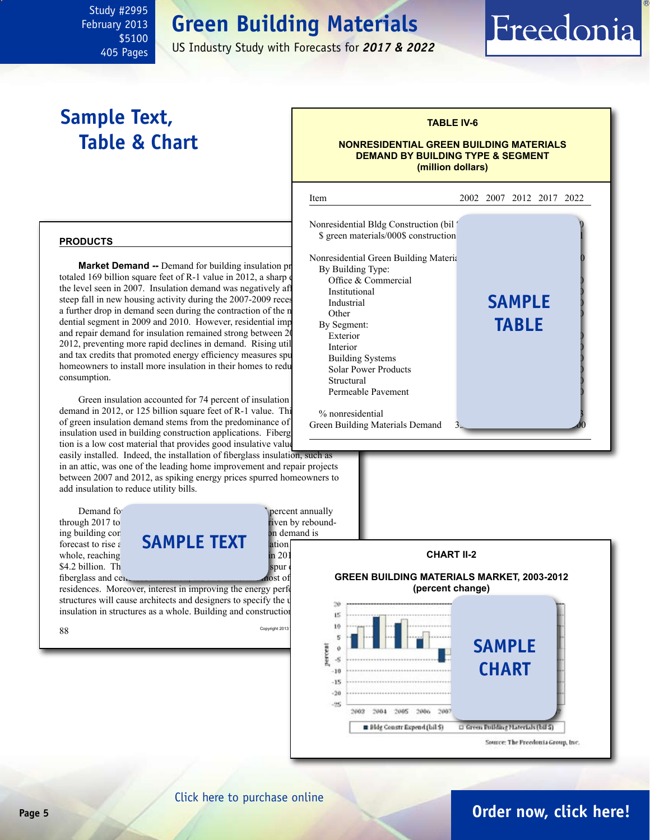### **Green Building Materials**

US Industry Study with Forecasts for *2017 & 2022*

j

### **Sample Text, Table & Chart**

<span id="page-4-0"></span>Study #2995 February 2013

> \$5100 405 Pages

#### **TABLE IV-6**

Freedonia

#### **NONRESIDENTIAL GREEN BUILDING MATERIALS DEMAND BY BUILDING TYPE & SEGMENT (million dollars)**



**Market Demand --** Demand for building insulation products totaled 169 billion square feet of R-1 value in 2012, a sharp the level seen in 2007. Insulation demand was negatively af steep fall in new housing activity during the  $2007-2009$  reces  $N_{\text{industrial}}$ a further drop in demand seen during the contraction of the n dential segment in 2009 and 2010. However, residential imp and repair demand for insulation remained strong between 20 2012, preventing more rapid declines in demand. Rising util and tax credits that promoted energy efficiency measures spu homeowners to install more insulation in their homes to redu consumption.

Green insulation accounted for 74 percent of insulation demand in 2012, or 125 billion square feet of  $R-1$  value. This of green insulation demand stems from the predominance of insulation used in building construction applications. Fiberg tion is a low cost material that provides good insulative value

easily installed. Indeed, the installation of fiberglass insulation, such as in an attic, was one of the leading home improvement and repair projects between 2007 and 2012, as spiking energy prices spurred homeowners to add insulation to reduce utility bills.

Demand for insulation is expected to a method of the percent annually through 2017 to a method of the percent annually through  $\frac{1}{2}$  percent annually through 2017 to \$4.2 billion. Th

through 2017 to  $\frac{1}{2}$  iven by rebound-<br>ing building con ing building construction expenditures. Green insulation on demand is **forecast to rise a SAMPLE TEXT** ation whole, reaching 183.0 billion square feet of R-1 value in 2017, value in 2017, value in 2017, value in 2017, value in 2017, value in 2017, value in 2017, value in 2017, value in 2017, value in 2017, value in 2017, value in  $fiberglass and ce$ 

residences. Moreover, interest in improving the energy performance of structures will cause architects and designers to specify the use  $\frac{1}{20}$ insulation in structures as a whole. Building and construction





### **Page 5 [Order now, click here!](#page-6-0)**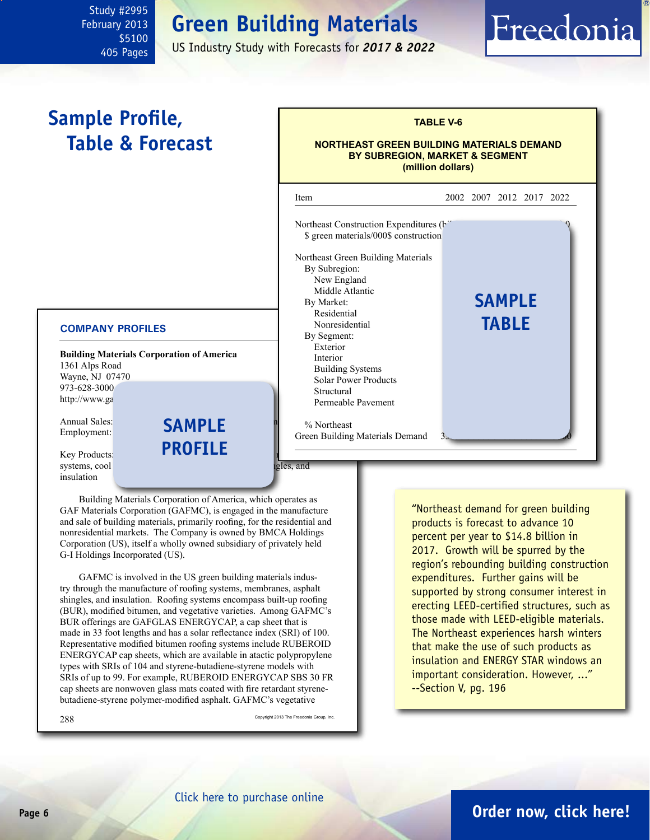### **Green Building Materials**

US Industry Study with Forecasts for *2017 & 2022*

### **Sample Profile, Table & Forecast**

<span id="page-5-0"></span>Study #2995 February 2013

> \$5100 405 Pages

#### Annual Sales: **Annual Sales: a**<br>Employment: **SAMPLE a TABLE V-6 NORTHEAST GREEN BUILDING MATERIALS DEMAND BY SUBREGION, MARKET & SEGMENT (million dollars)** j Item 2002 2007 2012 2017 2022 Northeast Construction Expenditures (bil \$ green materials/000\$ construction Northeast Green Building Materials By Subregion: New England Middle Atlantic By Market: Residential Nonresidential By Segment: Exterior 2330 3110 3460 5010 6300 Interior 2250 2680 2550 4120 5270 Building Systems Solar Power Products Structural Permeable Pavement % Northeast Green Building Materials Demand **sample table**

#### **COMPANY PROFILES**

**Building Materials Corporation of America** 1361 Alps Road Wayne, NJ 07470 973-628-3000 http://www.ga

Employment:

Key Products: systems, cool reflective roofing members and reflective roofing members as  $q$ insulation

Building Materials Corporation of America, which operates as GAF Materials Corporation (GAFMC), is engaged in the manufacture and sale of building materials, primarily roofing, for the residential and nonresidential markets. The Company is owned by BMCA Holdings Corporation (US), itself a wholly owned subsidiary of privately held G-I Holdings Incorporated (US).

**profile**

GAFMC is involved in the US green building materials industry through the manufacture of roofing systems, membranes, asphalt shingles, and insulation. Roofing systems encompass built-up roofing (BUR), modified bitumen, and vegetative varieties. Among GAFMC's BUR offerings are GAFGLAS ENERGYCAP, a cap sheet that is made in 33 foot lengths and has a solar reflectance index (SRI) of 100. Representative modified bitumen roofing systems include RUBEROID ENERGYCAP cap sheets, which are available in atactic polypropylene types with SRIs of 104 and styrene-butadiene-styrene models with SRIs of up to 99. For example, RUBEROID ENERGYCAP SBS 30 FR cap sheets are nonwoven glass mats coated with fire retardant styrenebutadiene-styrene polymer-modified asphalt. GAFMC's vegetative

288 Copyright 2013 The Freedonia Group, Inc.

"Northeast demand for green building products is forecast to advance 10 percent per year to \$14.8 billion in 2017. Growth will be spurred by the region's rebounding building construction expenditures. Further gains will be supported by strong consumer interest in erecting LEED-certified structures, such as those made with LEED-eligible materials. The Northeast experiences harsh winters that make the use of such products as insulation and ENERGY STAR windows an important consideration. However, ..." --Section V, pg. 196

Freedonia

### **Page 6 [Order now, click here!](#page-6-0)**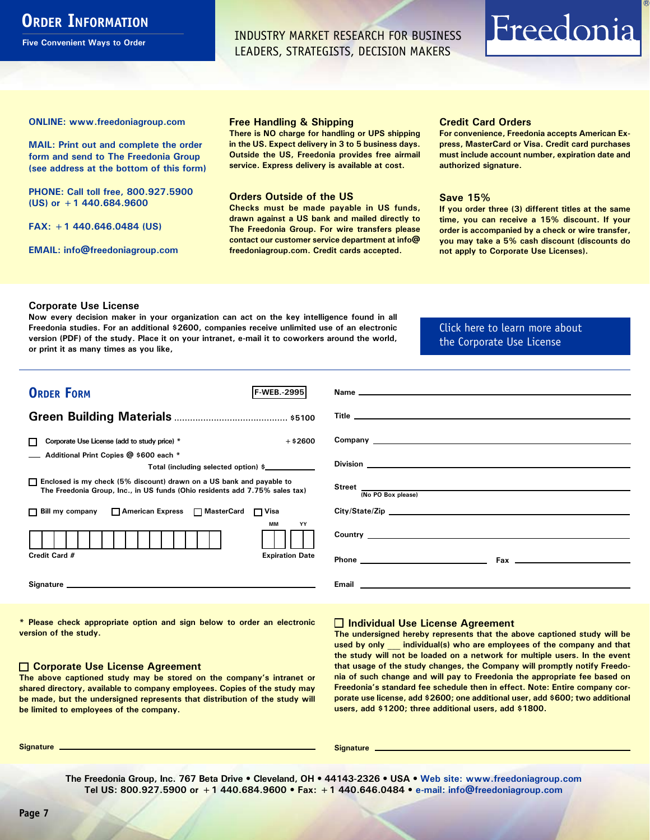### <span id="page-6-0"></span>**ORDER INFORMATION**

**Five Convenient Ways to Order**

INDUSTRY MARKET RESEARCH FOR BUSINESS LEADERS, STRATEGISTS, DECISION MAKERS

## Freedonia

**ONLINE: [www.freedoniagroup.com](http://www.freedoniagroup.com/DocumentDetails.aspx?Referrerid=FM-Bro&StudyID=2995)**

**MAIL: Print out and complete the order form and send to The Freedonia Group (see address at the bottom of this form)**

**PHONE: Call toll free, 800.927.5900 (US) or +1 440.684.9600**

**FAX: +1 440.646.0484 (US)**

**EMAIL: [info@freedoniagroup.com](mailto:info@freedoniagroup.com)**

#### **Free Handling & Shipping**

**There is NO charge for handling or UPS shipping in the US. Expect delivery in 3 to 5 business days. Outside the US, Freedonia provides free airmail service. Express delivery is available at cost.**

#### **Orders Outside of the US**

**Checks must be made payable in US funds, drawn against a US bank and mailed directly to The Freedonia Group. For wire transfers please contact our customer service department at info@ freedoniagroup.com. Credit cards accepted.**

#### **Credit Card Orders**

**For convenience, Freedonia accepts American Express, MasterCard or Visa. Credit card purchases must include account number, expiration date and authorized signature.**

#### **Save 15%**

**If you order three (3) different titles at the same time, you can receive a 15% discount. If your order is accompanied by a check or wire transfer, you may take a 5% cash discount (discounts do not apply to Corporate Use Licenses).**

#### **Corporate Use License**

**Now every decision maker in your organization can act on the key intelligence found in all Freedonia studies. For an additional \$2600, companies receive unlimited use of an electronic version (PDF) of the study. Place it on your intranet, e-mail it to coworkers around the world, or print it as many times as you like,** 

[Click here to learn more about](http://www.freedoniagroup.com/pdf/FreedoniaCULBro.pdf)  [the Corporate Use License](http://www.freedoniagroup.com/pdf/FreedoniaCULBro.pdf)

| <b>ORDER FORM</b><br><b>F-WEB. 2995</b>                                                                                                               | Name experience and the contract of the contract of the contract of the contract of the contract of the contract of the contract of the contract of the contract of the contract of the contract of the contract of the contra       |
|-------------------------------------------------------------------------------------------------------------------------------------------------------|--------------------------------------------------------------------------------------------------------------------------------------------------------------------------------------------------------------------------------------|
|                                                                                                                                                       |                                                                                                                                                                                                                                      |
| $+$ \$2600<br>Corporate Use License (add to study price) *                                                                                            |                                                                                                                                                                                                                                      |
| Additional Print Copies @ \$600 each *<br>Total (including selected option) \$                                                                        |                                                                                                                                                                                                                                      |
| □ Enclosed is my check (5% discount) drawn on a US bank and payable to<br>The Freedonia Group, Inc., in US funds (Ohio residents add 7.75% sales tax) | Street  Mo PO Box please)                                                                                                                                                                                                            |
| □ Bill my company □ American Express □ MasterCard □ Visa                                                                                              | City/State/Zip                                                                                                                                                                                                                       |
| <b>MM</b><br>YY                                                                                                                                       | <b>Country Country Country Country</b>                                                                                                                                                                                               |
| Credit Card #<br><b>Expiration Date</b>                                                                                                               |                                                                                                                                                                                                                                      |
|                                                                                                                                                       | Email <b>Executive Contract Contract Contract Contract Contract Contract Contract Contract Contract Contract Contract Contract Contract Contract Contract Contract Contract Contract Contract Contract Contract Contract Contrac</b> |

**\* Please check appropriate option and sign below to order an electronic version of the study.**

#### **Corporate Use License Agreement**

**The above captioned study may be stored on the company's intranet or shared directory, available to company employees. Copies of the study may be made, but the undersigned represents that distribution of the study will be limited to employees of the company.**

#### **Individual Use License Agreement**

**The undersigned hereby represents that the above captioned study will be used by only \_\_\_ individual(s) who are employees of the company and that the study will not be loaded on a network for multiple users. In the event that usage of the study changes, the Company will promptly notify Freedonia of such change and will pay to Freedonia the appropriate fee based on Freedonia's standard fee schedule then in effect. Note: Entire company corporate use license, add \$2600; one additional user, add \$600; two additional users, add \$1200; three additional users, add \$1800.**

**Signature Signature**

**The Freedonia Group, Inc. 767 Beta Drive • Cleveland, OH • 44143-2326 • USA • [Web site: www.freedoniagroup.com](http://www.freedoniagroup.com/Home.aspx?ReferrerId=FM-Bro) Tel US: 800.927.5900 or +1 440.684.9600 • Fax: +1 440.646.0484 • [e-mail: info@freedoniagroup.com](mailto:info@freedoniagroup.com)**